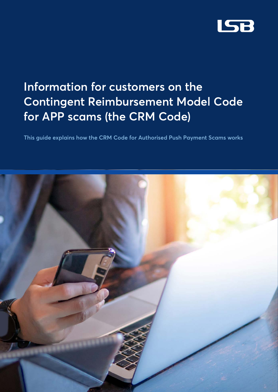

# **Information for customers on the Contingent Reimbursement Model Code for APP scams (the CRM Code)**

**This guide explains how the CRM Code for Authorised Push Payment Scams works**

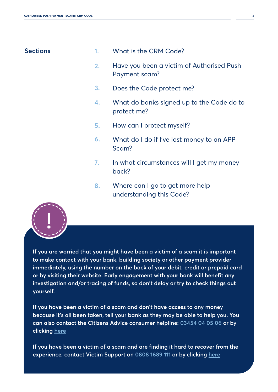### **Sections 1.**

|  | What is the CRM Code? |
|--|-----------------------|
|--|-----------------------|

- Have you been a victim of Authorised Push Payment scam? **2.**
- Does the Code protect me? **3.**
- What do banks signed up to the Code do to protect me? **4.**
- How can I protect myself? **5.**
- What do I do if I've lost money to an APP Scam? **6.**
- In what circumstances will I get my money back? **7.**
- Where can I go to get more help understanding this Code? **8.**



**If you are worried that you might have been a victim of a scam it is important to make contact with your bank, building society or other payment provider immediately, using the number on the back of your debit, credit or prepaid card or by visiting their website. Early engagement with your bank will benefit any investigation and/or tracing of funds, so don't delay or try to check things out yourself.** 

**If you have been a victim of a scam and don't have access to any money because it's all been taken, tell your bank as they may be able to help you. You can also contact the Citizens Advice consumer helpline: [03454 04 05 06](tel:03454 04 05 06) or by clicking [here](https://www.citizensadvice.org.uk/consumer/get-more-help/if-you-need-more-help-about-a-consumer-issue/)**

**If you have been a victim of a scam and are finding it hard to recover from the experience, contact Victim Support on [0808 1689 111](tel:0808 1689 111) or by clicking [here](http://www.victimsupport.org.uk/)**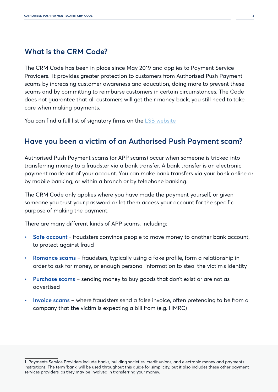# **What is the CRM Code?**

The CRM Code has been in place since May 2019 and applies to Payment Service Providers.<sup>1</sup> It provides greater protection to customers from Authorised Push Payment scams by increasing customer awareness and education, doing more to prevent these scams and by committing to reimburse customers in certain circumstances. The Code does not guarantee that all customers will get their money back, you still need to take care when making payments.

You can find a full list of signatory firms on the [LSB website](https://www.lendingstandardsboard.org.uk/why-register/#registered-firms)

# **Have you been a victim of an Authorised Push Payment scam?**

Authorised Push Payment scams (or APP scams) occur when someone is tricked into transferring money to a fraudster via a bank transfer. A bank transfer is an electronic payment made out of your account. You can make bank transfers via your bank online or by mobile banking, or within a branch or by telephone banking.

The CRM Code only applies where you have made the payment yourself, or given someone you trust your password or let them access your account for the specific purpose of making the payment.

There are many different kinds of APP scams, including:

- **• Safe account** fraudsters convince people to move money to another bank account, to protect against fraud
- **• Romance scams** fraudsters, typically using a fake profile, form a relationship in order to ask for money, or enough personal information to steal the victim's identity
- **• Purchase scams** sending money to buy goods that don't exist or are not as advertised
- **• Invoice scams** where fraudsters send a false invoice, often pretending to be from a company that the victim is expecting a bill from (e.g. HMRC)

**<sup>1</sup>** Payments Service Providers include banks, building societies, credit unions, and electronic money and payments institutions. The term 'bank' will be used throughout this guide for simplicity, but it also includes these other payment services providers, as they may be involved in transferring your money.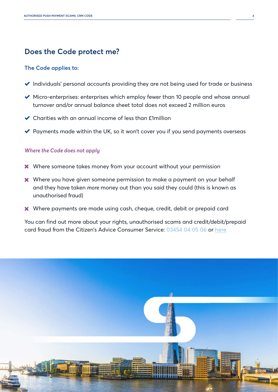# **Does the Code protect me?**

#### **The Code applies to:**

- Individuals' personal accounts providing they are not being used for trade or business
- Micro-enterprises: enterprises which employ fewer than 10 people and whose annual turnover and/or annual balance sheet total does not exceed 2 million euros
- Charities with an annual income of less than £1million
- $\blacktriangleright$  Payments made within the UK, so it won't cover you if you send payments overseas

### *Where the Code does not apply*

- $*$  Where someone takes money from your account without your permission
- \* Where you have given someone permission to make a payment on your behalf and they have taken *more* money out than you said they could (this is known as unauthorised fraud)
- Where payments are made using cash, cheque, credit, debit or prepaid card

You can find out more about your rights, unauthorised scams and credit/debit/prepaid card fraud from the Citizen's Advice Consumer Service: [03454 04 05 06](tel:03454 04 05 06) or [here](http://www.citizensadvice.org.uk/consumer/get-more-help/if-you-need-more-help-about-a-consumer-issue/)

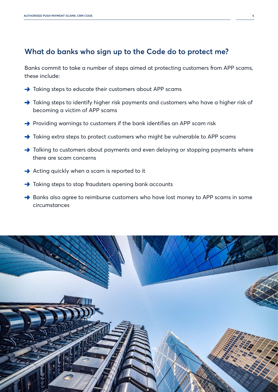# **What do banks who sign up to the Code do to protect me?**

Banks commit to take a number of steps aimed at protecting customers from APP scams, these include:

- Taking steps to educate their customers about APP scams
- Taking steps to identify higher risk payments and customers who have a higher risk of becoming a victim of APP scams
- Providing warnings to customers if the bank identifies an APP scam risk
- Taking extra steps to protect customers who might be vulnerable to APP scams
- Talking to customers about payments and even delaying or stopping payments where there are scam concerns
- $\rightarrow$  Acting quickly when a scam is reported to it
- $\rightarrow$  Taking steps to stop fraudsters opening bank accounts
- Banks also agree to reimburse customers who have lost money to APP scams in some circumstances

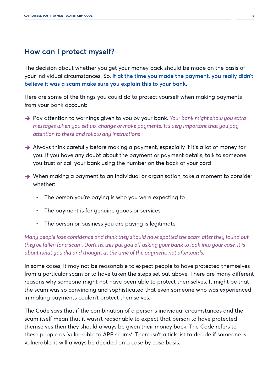## **How can I protect myself?**

The decision about whether you get your money back should be made on the basis of your individual circumstances. So, **if at the time you made the payment, you really didn't believe it was a scam make sure you explain this to your bank.**

Here are some of the things you could do to protect yourself when making payments from your bank account:

- Pay attention to warnings given to you by your bank. *Your bank might show you extra messages when you set up, change or make payments. It's very important that you pay attention to these and follow any instructions*
- Always think carefully before making a payment, especially if it's a lot of money for you. If you have any doubt about the payment or payment details, talk to someone you trust or call your bank using the number on the back of your card
- $\rightarrow$  When making a payment to an individual or organisation, take a moment to consider whether:
	- The person you're paying is who you were expecting to
	- The payment is for genuine goods or services
	- The person or business you are paying is legitimate

*Many people lose confidence and think they should have spotted the scam after they found out they've fallen for a scam. Don't let this put you off asking your bank to look into your case, it is about what you did and thought at the time of the payment, not afterwards.*

In some cases, it may not be reasonable to expect people to have protected themselves from a particular scam or to have taken the steps set out above. There are many different reasons why someone might not have been able to protect themselves. It might be that the scam was so convincing and sophisticated that even someone who was experienced in making payments couldn't protect themselves.

The Code says that if the combination of a person's individual circumstances and the scam itself mean that it wasn't reasonable to expect that person to have protected themselves then they should always be given their money back. The Code refers to these people as 'vulnerable to APP scams'. There isn't a tick list to decide if someone is vulnerable, it will always be decided on a case by case basis.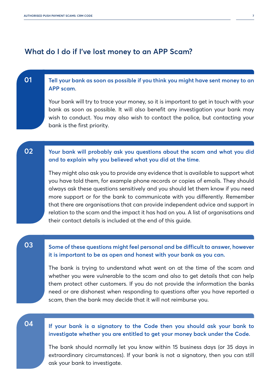## **What do I do if I've lost money to an APP Scam?**

#### **Tell your bank as soon as possible if you think you might have sent money to an APP scam**. **01**

Your bank will try to trace your money, so it is important to get in touch with your bank as soon as possible. It will also benefit any investigation your bank may wish to conduct. You may also wish to contact the police, but contacting your bank is the first priority.

#### **Your bank will probably ask you questions about the scam and what you did and to explain why you believed what you did at the time**. **02**

They might also ask you to provide any evidence that is available to support what you have told them, for example phone records or copies of emails. They should always ask these questions sensitively and you should let them know if you need more support or for the bank to communicate with you differently. Remember that there are organisations that can provide independent advice and support in relation to the scam and the impact it has had on you. A list of organisations and their contact details is included at the end of this guide.

### **03**

### **Some of these questions might feel personal and be difficult to answer, however it is important to be as open and honest with your bank as you can.**

The bank is trying to understand what went on at the time of the scam and whether you were vulnerable to the scam and also to get details that can help them protect other customers. If you do not provide the information the banks need or are dishonest when responding to questions after you have reported a scam, then the bank may decide that it will not reimburse you.

### **04**

### **If your bank is a signatory to the Code then you should ask your bank to investigate whether you are entitled to get your money back under the Code.**

The bank should normally let you know within 15 business days (or 35 days in extraordinary circumstances). If your bank is not a signatory, then you can still ask your bank to investigate.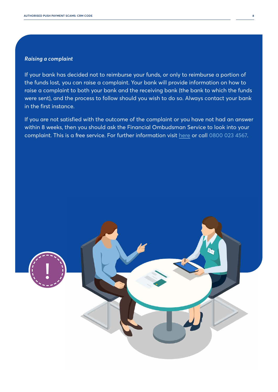### *Raising a complaint*

If your bank has decided not to reimburse your funds, or only to reimburse a portion of the funds lost, you can raise a complaint. Your bank will provide information on how to raise a complaint to both your bank and the receiving bank (the bank to which the funds were sent), and the process to follow should you wish to do so. Always contact your bank in the first instance.

If you are not satisfied with the outcome of the complaint or you have not had an answer within 8 weeks, then you should ask the Financial Ombudsman Service to look into your complaint. This is a free service. For further information visit [here](http://www.financial-ombudsman.org.uk/consumers/how-to-complain) or call [0800 023 4567](tel:0800 023 4567).

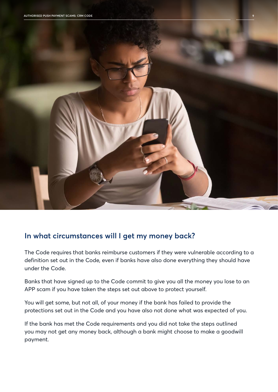

# **In what circumstances will I get my money back?**

The Code requires that banks reimburse customers if they were vulnerable according to a definition set out in the Code, even if banks have also done everything they should have under the Code.

Banks that have signed up to the Code commit to give you all the money you lose to an APP scam if you have taken the steps set out above to protect yourself.

You will get some, but not all, of your money if the bank has failed to provide the protections set out in the Code and you have also not done what was expected of you.

If the bank has met the Code requirements and you did not take the steps outlined you may not get any money back, although a bank might choose to make a goodwill payment.